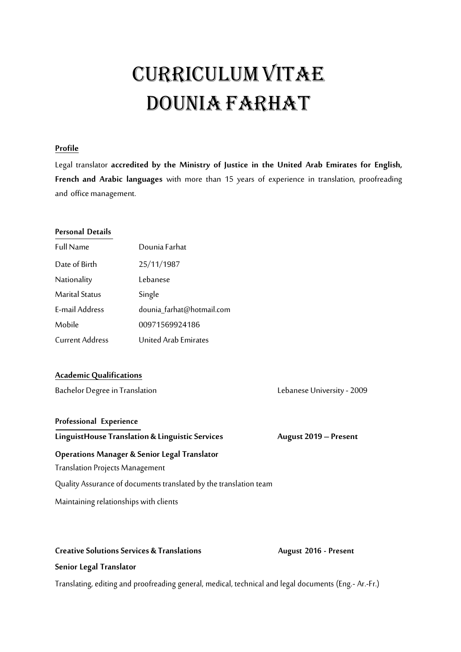# CURRICULUM VITAE DOUNIA FARHAT

#### **Profile**

Legal translator **accredited by the Ministry of Justice in the United Arab Emirates for English, French and Arabic languages** with more than 15 years of experience in translation, proofreading and office management.

#### **Personal Details**

| <b>Full Name</b>       | Dounia Farhat               |
|------------------------|-----------------------------|
| Date of Birth          | 25/11/1987                  |
| Nationality            | Lebanese                    |
| Marital Status         | Single                      |
| E-mail Address         | dounia farhat@hotmail.com   |
| Mobile                 | 00971569924186              |
| <b>Current Address</b> | <b>United Arab Emirates</b> |

#### **AcademicQualifications**

Bachelor Degree in Translation **Lebanese University - 2009** 

**Professional Experience LinguistHouse Translation & LinguisticServices August 2019 – Present Operations Manager & Senior Legal Translator** Translation Projects Management Quality Assurance of documents translated by the translation team Maintaining relationships with clients

#### **CreativeSolutionsServices & Translations August 2016 - Present**

**Senior Legal Translator**

Translating, editing and proofreading general, medical, technical and legal documents (Eng.- Ar.-Fr.)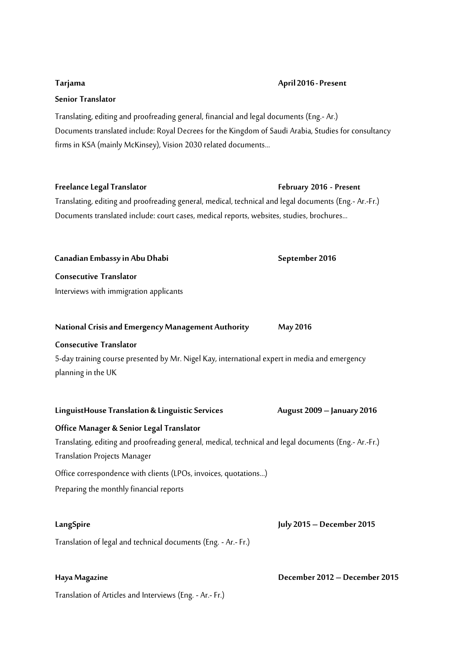## **Freelance Legal Translator February 2016 - Present** Translating, editing and proofreading general, medical, technical and legal documents (Eng.- Ar.-Fr.) Documents translated include: court cases, medical reports, websites, studies, brochures…  **Canadian Embassyin Abu Dhabi September 2016 Consecutive Translator** Interviews with immigration applicants **National Crisisand EmergencyManagement Authority May 2016 Consecutive Translator** 5-day training course presented by Mr. Nigel Kay, international expert in media and emergency planning in the UK **LinguistHouse Translation & LinguisticServices August 2009 – January 2016 Office Manager & Senior Legal Translator** Translating, editing and proofreading general, medical, technical and legal documents (Eng.- Ar.-Fr.) Translation Projects Manager Office correspondence with clients (LPOs, invoices, quotations…) Preparing the monthly financial reports **LangSpire July 2015 – December 2015** Translation of legal and technical documents (Eng. - Ar.-Fr.)

**Haya Magazine December 2012 – December 2015**

Translation of Articles and Interviews (Eng. - Ar.-Fr.)

#### **Tarjama April 2016 - Present**

#### **Senior Translator**

Translating, editing and proofreading general, financial and legal documents (Eng.- Ar.) Documents translated include: Royal Decrees for the Kingdom of Saudi Arabia, Studies for consultancy firms in KSA (mainly McKinsey), Vision 2030 related documents…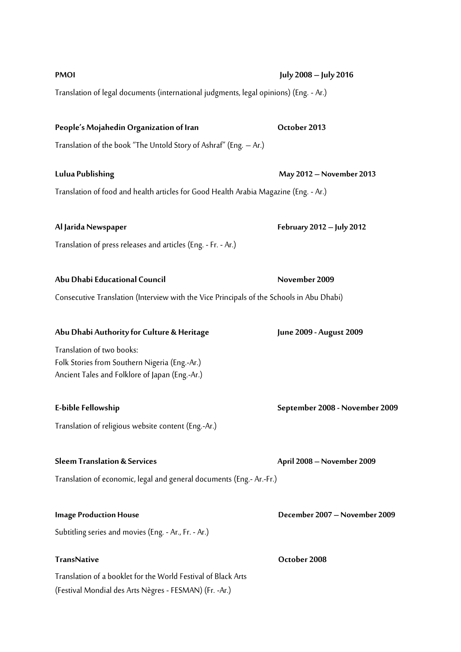| Translation of legal documents (international judgments, legal opinions) (Eng. - Ar.)                                        |                                |
|------------------------------------------------------------------------------------------------------------------------------|--------------------------------|
| People's Mojahedin Organization of Iran                                                                                      | October 2013                   |
| Translation of the book "The Untold Story of Ashraf" (Eng. - Ar.)                                                            |                                |
| <b>Lulua Publishing</b>                                                                                                      | May 2012 - November 2013       |
| Translation of food and health articles for Good Health Arabia Magazine (Eng. - Ar.)                                         |                                |
| Al Jarida Newspaper                                                                                                          | February 2012 - July 2012      |
| Translation of press releases and articles (Eng. - Fr. - Ar.)                                                                |                                |
| Abu Dhabi Educational Council                                                                                                | November 2009                  |
| Consecutive Translation (Interview with the Vice Principals of the Schools in Abu Dhabi)                                     |                                |
| Abu Dhabi Authority for Culture & Heritage                                                                                   | June 2009 - August 2009        |
| Translation of two books:<br>Folk Stories from Southern Nigeria (Eng.-Ar.)<br>Ancient Tales and Folklore of Japan (Eng.-Ar.) |                                |
| E-bible Fellowship                                                                                                           | September 2008 - November 2009 |
| Translation of religious website content (Eng.-Ar.)                                                                          |                                |
| <b>Sleem Translation &amp; Services</b>                                                                                      | April 2008 - November 2009     |
| Translation of economic, legal and general documents (Eng.- Ar.-Fr.)                                                         |                                |
| <b>Image Production House</b>                                                                                                | December 2007 - November 2009  |
| Subtitling series and movies (Eng. - Ar., Fr. - Ar.)                                                                         |                                |
| TransNative                                                                                                                  | October 2008                   |
| Translation of a booklet for the World Festival of Black Arts<br>(Festival Mondial des Arts Nègres - FESMAN) (Fr. -Ar.)      |                                |

**PMOI July 2008 – July 2016**